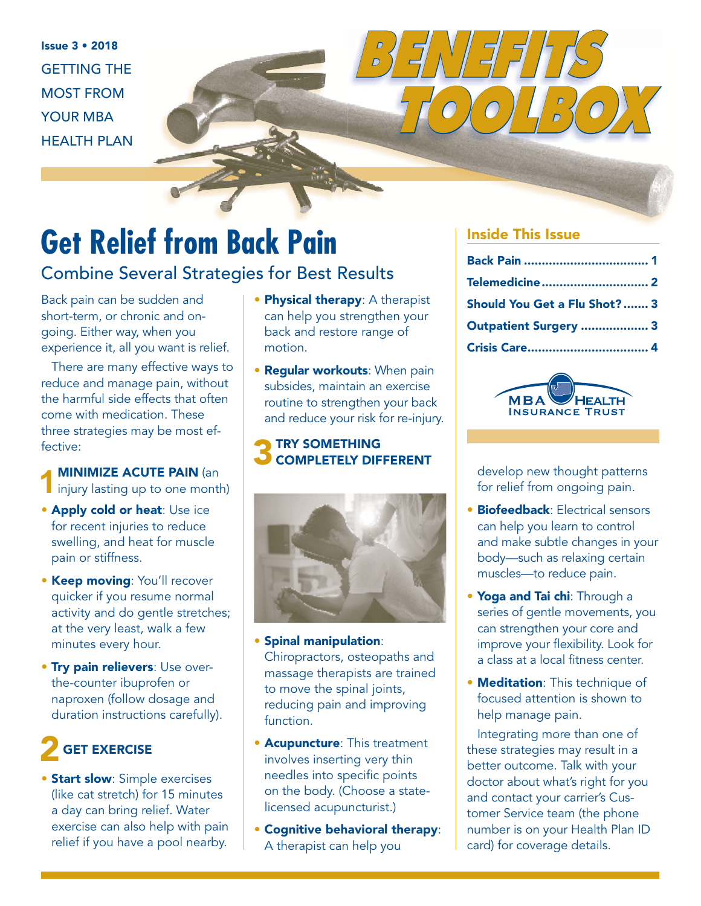Issue 3 • 2018 GETTING THE MOST FROM YOUR MBA HEALTH PLAN

# **Get Relief from Back Pain**

### Combine Several Strategies for Best Results

Back pain can be sudden and short-term, or chronic and ongoing. Either way, when you experience it, all you want is relief.

There are many effective ways to reduce and manage pain, without the harmful side effects that often come with medication. These three strategies may be most effective:

#### **MINIMIZE ACUTE PAIN (an)** injury lasting up to one month)

- Apply cold or heat: Use ice for recent injuries to reduce swelling, and heat for muscle pain or stiffness.
- Keep moving: You'll recover quicker if you resume normal activity and do gentle stretches; at the very least, walk a few minutes every hour.
- **Try pain relievers: Use over**the-counter ibuprofen or naproxen (follow dosage and duration instructions carefully).

## GET EXERCISE

**• Start slow:** Simple exercises (like cat stretch) for 15 minutes a day can bring relief. Water exercise can also help with pain relief if you have a pool nearby.

- Physical therapy: A therapist can help you strengthen your back and restore range of motion.
- Regular workouts: When pain subsides, maintain an exercise routine to strengthen your back and reduce your risk for re-injury.

# 3 TRY SOMETHING



- Spinal manipulation: Chiropractors, osteopaths and massage therapists are trained to move the spinal joints, reducing pain and improving function.
- **Acupuncture: This treatment** involves inserting very thin needles into specific points on the body. (Choose a statelicensed acupuncturist.)
- Cognitive behavioral therapy: A therapist can help you

#### Inside This Issue

*BENEFITS* 

| Telemedicine  2              |  |
|------------------------------|--|
| Should You Get a Flu Shot? 3 |  |
| Outpatient Surgery  3        |  |
|                              |  |

 *TOOLBOX*



develop new thought patterns for relief from ongoing pain.

- **Biofeedback: Electrical sensors** can help you learn to control and make subtle changes in your body—such as relaxing certain muscles—to reduce pain.
- Yoga and Tai chi: Through a series of gentle movements, you can strengthen your core and improve your flexibility. Look for a class at a local fitness center.
- **Meditation:** This technique of focused attention is shown to help manage pain.

Integrating more than one of these strategies may result in a better outcome. Talk with your doctor about what's right for you and contact your carrier's Customer Service team (the phone number is on your Health Plan ID card) for coverage details.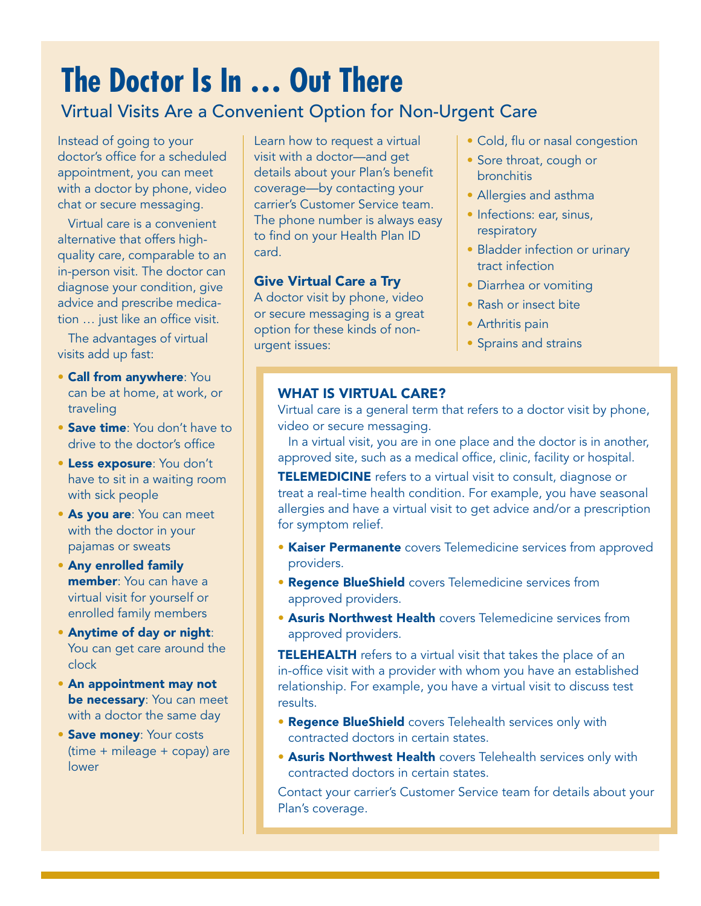# **The Doctor Is In … Out There**

### Virtual Visits Are a Convenient Option for Non-Urgent Care

Instead of going to your doctor's office for a scheduled appointment, you can meet with a doctor by phone, video chat or secure messaging.

Virtual care is a convenient alternative that offers highquality care, comparable to an in-person visit. The doctor can diagnose your condition, give advice and prescribe medication … just like an office visit.

The advantages of virtual visits add up fast:

- Call from anywhere: You can be at home, at work, or traveling
- Save time: You don't have to drive to the doctor's office
- Less exposure: You don't have to sit in a waiting room with sick people
- As you are: You can meet with the doctor in your pajamas or sweats
- Any enrolled family member: You can have a virtual visit for yourself or enrolled family members
- Anytime of day or night: You can get care around the clock
- An appointment may not be necessary: You can meet with a doctor the same day
- Save money: Your costs (time + mileage + copay) are lower

Learn how to request a virtual visit with a doctor—and get details about your Plan's benefit coverage—by contacting your carrier's Customer Service team. The phone number is always easy to find on your Health Plan ID card.

#### Give Virtual Care a Try

A doctor visit by phone, video or secure messaging is a great option for these kinds of nonurgent issues:

- Cold, flu or nasal congestion
- Sore throat, cough or bronchitis
- Allergies and asthma
- Infections: ear, sinus, respiratory
- Bladder infection or urinary tract infection
- Diarrhea or vomiting
- Rash or insect bite
- Arthritis pain
- Sprains and strains

#### WHAT IS VIRTUAL CARE?

Virtual care is a general term that refers to a doctor visit by phone, video or secure messaging.

In a virtual visit, you are in one place and the doctor is in another, approved site, such as a medical office, clinic, facility or hospital.

**TELEMEDICINE** refers to a virtual visit to consult, diagnose or treat a real-time health condition. For example, you have seasonal allergies and have a virtual visit to get advice and/or a prescription for symptom relief.

- **Kaiser Permanente** covers Telemedicine services from approved providers.
- **Regence BlueShield** covers Telemedicine services from approved providers.
- Asuris Northwest Health covers Telemedicine services from approved providers.

TELEHEALTH refers to a virtual visit that takes the place of an in-office visit with a provider with whom you have an established relationship. For example, you have a virtual visit to discuss test results.

- **Regence BlueShield** covers Telehealth services only with contracted doctors in certain states.
- **Asuris Northwest Health** covers Telehealth services only with contracted doctors in certain states.

Contact your carrier's Customer Service team for details about your Plan's coverage.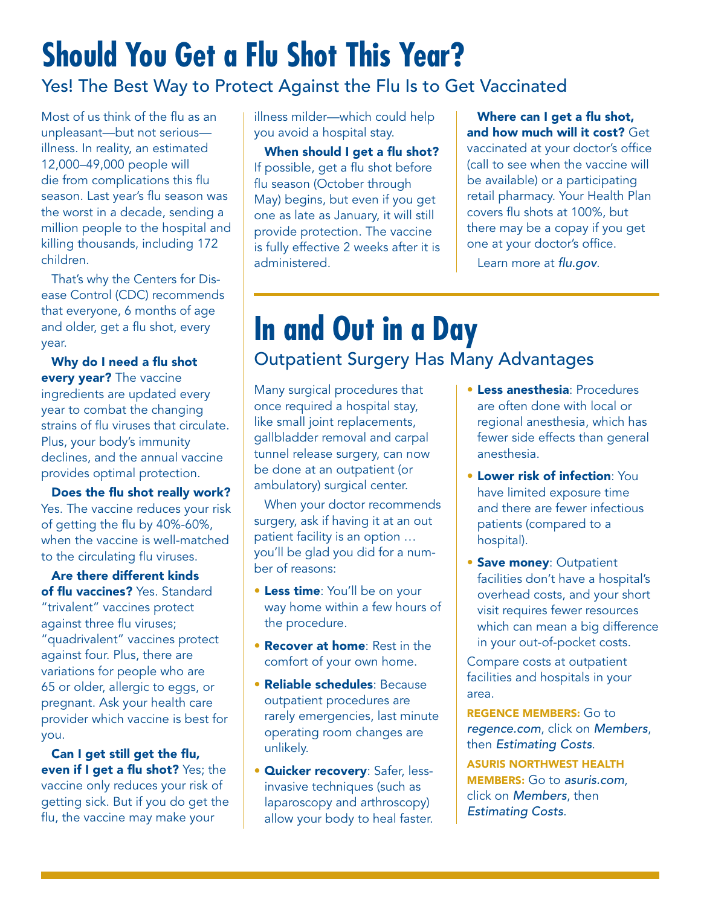# **Should You Get a Flu Shot This Year?**

### Yes! The Best Way to Protect Against the Flu Is to Get Vaccinated

Most of us think of the flu as an unpleasant—but not serious illness. In reality, an estimated 12,000–49,000 people will die from complications this flu season. Last year's flu season was the worst in a decade, sending a million people to the hospital and killing thousands, including 172 children.

That's why the Centers for Disease Control (CDC) recommends that everyone, 6 months of age and older, get a flu shot, every year.

Why do I need a flu shot every year? The vaccine ingredients are updated every year to combat the changing strains of flu viruses that circulate. Plus, your body's immunity declines, and the annual vaccine provides optimal protection.

Does the flu shot really work? Yes. The vaccine reduces your risk of getting the flu by 40%-60%, when the vaccine is well-matched to the circulating flu viruses.

Are there different kinds of flu vaccines? Yes. Standard "trivalent" vaccines protect against three flu viruses; "quadrivalent" vaccines protect against four. Plus, there are variations for people who are 65 or older, allergic to eggs, or pregnant. Ask your health care provider which vaccine is best for you.

Can I get still get the flu, even if I get a flu shot? Yes; the vaccine only reduces your risk of getting sick. But if you do get the flu, the vaccine may make your

illness milder—which could help you avoid a hospital stay.

When should I get a flu shot? If possible, get a flu shot before flu season (October through May) begins, but even if you get one as late as January, it will still provide protection. The vaccine is fully effective 2 weeks after it is administered.

#### Where can I get a flu shot, and how much will it cost? Get

vaccinated at your doctor's office (call to see when the vaccine will be available) or a participating retail pharmacy. Your Health Plan covers flu shots at 100%, but there may be a copay if you get one at your doctor's office.

Learn more at flu.gov.

## **In and Out in a Day** Outpatient Surgery Has Many Advantages

Many surgical procedures that once required a hospital stay, like small joint replacements, gallbladder removal and carpal tunnel release surgery, can now be done at an outpatient (or ambulatory) surgical center.

When your doctor recommends surgery, ask if having it at an out patient facility is an option … you'll be glad you did for a number of reasons:

- **Less time**: You'll be on your way home within a few hours of the procedure.
- Recover at home: Rest in the comfort of your own home.
- Reliable schedules: Because outpatient procedures are rarely emergencies, last minute operating room changes are unlikely.
- **Quicker recovery: Safer, less**invasive techniques (such as laparoscopy and arthroscopy) allow your body to heal faster.
- Less anesthesia: Procedures are often done with local or regional anesthesia, which has fewer side effects than general anesthesia.
- Lower risk of infection: You have limited exposure time and there are fewer infectious patients (compared to a hospital).
- **Save money: Outpatient** facilities don't have a hospital's overhead costs, and your short visit requires fewer resources which can mean a big difference in your out-of-pocket costs.

Compare costs at outpatient facilities and hospitals in your area.

REGENCE MEMBERS: Go to regence.com, click on Members, then Estimating Costs.

ASURIS NORTHWEST HEALTH MEMBERS: Go to asuris.com, click on Members, then Estimating Costs.